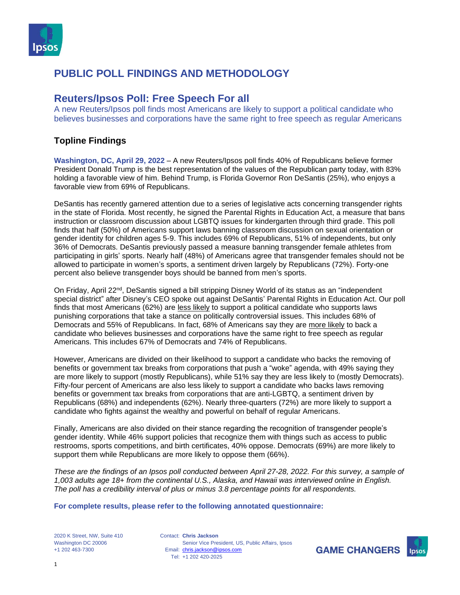

#### **Reuters/Ipsos Poll: Free Speech For all**

A new Reuters/Ipsos poll finds most Americans are likely to support a political candidate who believes businesses and corporations have the same right to free speech as regular Americans

#### **Topline Findings**

**Washington, DC, April 29, 2022** – A new Reuters/Ipsos poll finds 40% of Republicans believe former President Donald Trump is the best representation of the values of the Republican party today, with 83% holding a favorable view of him. Behind Trump, is Florida Governor Ron DeSantis (25%), who enjoys a favorable view from 69% of Republicans.

DeSantis has recently garnered attention due to a series of legislative acts concerning transgender rights in the state of Florida. Most recently, he signed the Parental Rights in Education Act, a measure that bans instruction or classroom discussion about LGBTQ issues for kindergarten through third grade. This poll finds that half (50%) of Americans support laws banning classroom discussion on sexual orientation or gender identity for children ages 5-9. This includes 69% of Republicans, 51% of independents, but only 36% of Democrats. DeSantis previously passed a measure banning transgender female athletes from participating in girls' sports. Nearly half (48%) of Americans agree that transgender females should not be allowed to participate in women's sports, a sentiment driven largely by Republicans (72%). Forty-one percent also believe transgender boys should be banned from men's sports.

On Friday, April 22<sup>nd</sup>, DeSantis signed a bill stripping Disney World of its status as an "independent" special district" after Disney's CEO spoke out against DeSantis' Parental Rights in Education Act. Our poll finds that most Americans (62%) are less likely to support a political candidate who supports laws punishing corporations that take a stance on politically controversial issues. This includes 68% of Democrats and 55% of Republicans. In fact, 68% of Americans say they are more likely to back a candidate who believes businesses and corporations have the same right to free speech as regular Americans. This includes 67% of Democrats and 74% of Republicans.

However, Americans are divided on their likelihood to support a candidate who backs the removing of benefits or government tax breaks from corporations that push a "woke" agenda, with 49% saying they are more likely to support (mostly Republicans), while 51% say they are less likely to (mostly Democrats). Fifty-four percent of Americans are also less likely to support a candidate who backs laws removing benefits or government tax breaks from corporations that are anti-LGBTQ, a sentiment driven by Republicans (68%) and independents (62%). Nearly three-quarters (72%) are more likely to support a candidate who fights against the wealthy and powerful on behalf of regular Americans.

Finally, Americans are also divided on their stance regarding the recognition of transgender people's gender identity. While 46% support policies that recognize them with things such as access to public restrooms, sports competitions, and birth certificates, 40% oppose. Democrats (69%) are more likely to support them while Republicans are more likely to oppose them (66%).

*These are the findings of an Ipsos poll conducted between April 27-28, 2022. For this survey, a sample of 1,003 adults age 18+ from the continental U.S., Alaska, and Hawaii was interviewed online in English. The poll has a credibility interval of plus or minus 3.8 percentage points for all respondents.*

**For complete results, please refer to the following annotated questionnaire:**

2020 K Street, NW, Suite 410 Washington DC 20006 +1 202 463-7300

Contact: **Chris Jackson** Email: [chris.jackson@ipsos.com](mailto:chris.jackson@ipsos.com) Tel: +1 202 420-2025 Senior Vice President, US, Public Affairs, Ipsos

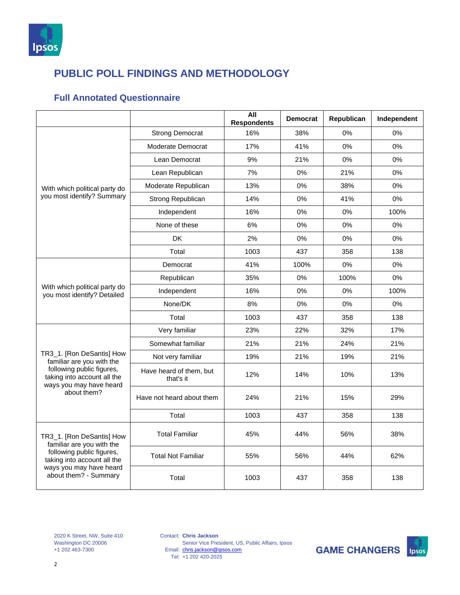

#### **Full Annotated Questionnaire**

|                                                                                                                                                                        |                                      | <b>All</b><br><b>Respondents</b> | <b>Democrat</b> | Republican | Independent |
|------------------------------------------------------------------------------------------------------------------------------------------------------------------------|--------------------------------------|----------------------------------|-----------------|------------|-------------|
|                                                                                                                                                                        | <b>Strong Democrat</b>               | 16%                              | 38%             | 0%         | 0%          |
|                                                                                                                                                                        | Moderate Democrat                    | 17%                              | 41%             | 0%         | 0%          |
|                                                                                                                                                                        | Lean Democrat                        | 9%                               | 21%             | 0%         | 0%          |
|                                                                                                                                                                        | Lean Republican                      | 7%                               | 0%              | 21%        | 0%          |
| With which political party do                                                                                                                                          | Moderate Republican                  | 13%                              | 0%              | 38%        | 0%          |
| you most identify? Summary                                                                                                                                             | Strong Republican                    | 14%                              | 0%              | 41%        | 0%          |
|                                                                                                                                                                        | Independent                          | 16%                              | 0%              | 0%         | 100%        |
|                                                                                                                                                                        | None of these                        | 6%                               | 0%              | 0%         | 0%          |
|                                                                                                                                                                        | <b>DK</b>                            | 2%                               | 0%              | 0%         | 0%          |
|                                                                                                                                                                        | Total                                | 1003                             | 437             | 358        | 138         |
|                                                                                                                                                                        | Democrat                             | 41%                              | 100%            | 0%         | 0%          |
|                                                                                                                                                                        | Republican                           | 35%                              | 0%              | 100%       | 0%          |
| With which political party do<br>you most identify? Detailed                                                                                                           | Independent                          | 16%                              | 0%              | 0%         | 100%        |
|                                                                                                                                                                        | None/DK                              | 8%                               | 0%              | 0%         | 0%          |
|                                                                                                                                                                        | Total                                | 1003                             | 437             | 358        | 138         |
|                                                                                                                                                                        | Very familiar                        | 23%                              | 22%             | 32%        | 17%         |
|                                                                                                                                                                        | Somewhat familiar                    | 21%                              | 21%             | 24%        | 21%         |
| TR3_1. [Ron DeSantis] How<br>familiar are you with the                                                                                                                 | Not very familiar                    | 19%                              | 21%             | 19%        | 21%         |
| following public figures,<br>taking into account all the<br>ways you may have heard                                                                                    | Have heard of them, but<br>that's it | 12%                              | 14%             | 10%        | 13%         |
| about them?                                                                                                                                                            | Have not heard about them            | 24%                              | 21%             | 15%        | 29%         |
|                                                                                                                                                                        | Total                                | 1003                             | 437             | 358        | 138         |
| TR3_1. [Ron DeSantis] How<br>familiar are you with the<br>following public figures,<br>taking into account all the<br>ways you may have heard<br>about them? - Summary | <b>Total Familiar</b>                | 45%                              | 44%             | 56%        | 38%         |
|                                                                                                                                                                        | <b>Total Not Familiar</b>            | 55%                              | 56%             | 44%        | 62%         |
|                                                                                                                                                                        | Total                                | 1003                             | 437             | 358        | 138         |

2020 K Street, NW, Suite 410 Washington DC 20006 +1 202 463-7300

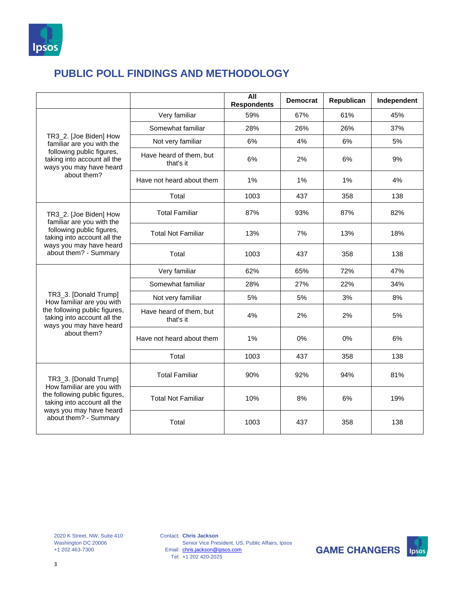

|                                                                                                                                                                        |                                      | All<br><b>Respondents</b> | <b>Democrat</b> | Republican | Independent |
|------------------------------------------------------------------------------------------------------------------------------------------------------------------------|--------------------------------------|---------------------------|-----------------|------------|-------------|
|                                                                                                                                                                        | Very familiar                        | 59%                       | 67%             | 61%        | 45%         |
|                                                                                                                                                                        | Somewhat familiar                    | 28%                       | 26%             | 26%        | 37%         |
| TR3_2. [Joe Biden] How<br>familiar are you with the                                                                                                                    | Not very familiar                    | 6%                        | 4%              | 6%         | 5%          |
| following public figures,<br>taking into account all the<br>ways you may have heard                                                                                    | Have heard of them, but<br>that's it | 6%                        | 2%              | 6%         | 9%          |
| about them?                                                                                                                                                            | Have not heard about them            | 1%                        | 1%              | 1%         | 4%          |
|                                                                                                                                                                        | Total                                | 1003                      | 437             | 358        | 138         |
| TR3_2. [Joe Biden] How<br>familiar are you with the                                                                                                                    | <b>Total Familiar</b>                | 87%                       | 93%             | 87%        | 82%         |
| following public figures,<br>taking into account all the<br>ways you may have heard<br>about them? - Summary                                                           | <b>Total Not Familiar</b>            | 13%                       | 7%              | 13%        | 18%         |
|                                                                                                                                                                        | Total                                | 1003                      | 437             | 358        | 138         |
|                                                                                                                                                                        | Very familiar                        | 62%                       | 65%             | 72%        | 47%         |
|                                                                                                                                                                        | Somewhat familiar                    | 28%                       | 27%             | 22%        | 34%         |
| TR3_3. [Donald Trump]<br>How familiar are you with                                                                                                                     | Not very familiar                    | 5%                        | 5%              | 3%         | 8%          |
| the following public figures,<br>taking into account all the<br>ways you may have heard                                                                                | Have heard of them, but<br>that's it | 4%                        | 2%              | 2%         | 5%          |
| about them?                                                                                                                                                            | Have not heard about them            | 1%                        | 0%              | 0%         | 6%          |
|                                                                                                                                                                        | Total                                | 1003                      | 437             | 358        | 138         |
| TR3_3. [Donald Trump]<br>How familiar are you with<br>the following public figures,<br>taking into account all the<br>ways you may have heard<br>about them? - Summary | <b>Total Familiar</b>                | 90%                       | 92%             | 94%        | 81%         |
|                                                                                                                                                                        | <b>Total Not Familiar</b>            | 10%                       | 8%              | 6%         | 19%         |
|                                                                                                                                                                        | Total                                | 1003                      | 437             | 358        | 138         |

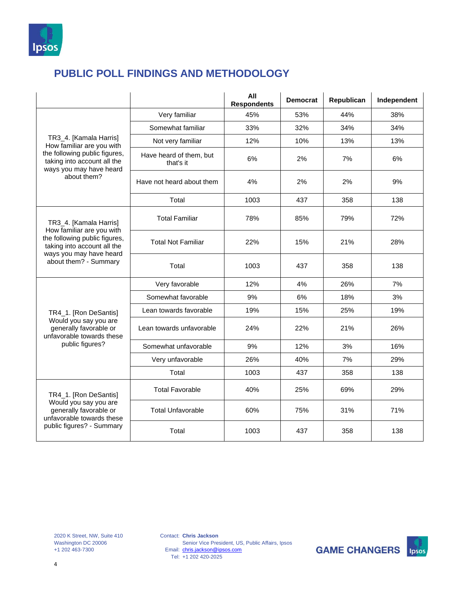

|                                                                                                                                               |                                      | All<br><b>Respondents</b> | <b>Democrat</b> | Republican | Independent |
|-----------------------------------------------------------------------------------------------------------------------------------------------|--------------------------------------|---------------------------|-----------------|------------|-------------|
|                                                                                                                                               | Very familiar                        | 45%                       | 53%             | 44%        | 38%         |
|                                                                                                                                               | Somewhat familiar                    | 33%                       | 32%             | 34%        | 34%         |
| TR3_4. [Kamala Harris]<br>How familiar are you with                                                                                           | Not very familiar                    | 12%                       | 10%             | 13%        | 13%         |
| the following public figures,<br>taking into account all the<br>ways you may have heard                                                       | Have heard of them, but<br>that's it | 6%                        | 2%              | 7%         | 6%          |
| about them?                                                                                                                                   | Have not heard about them            | 4%                        | 2%              | 2%         | 9%          |
|                                                                                                                                               | Total                                | 1003                      | 437             | 358        | 138         |
| TR3 4. [Kamala Harris]                                                                                                                        | <b>Total Familiar</b>                | 78%                       | 85%             | 79%        | 72%         |
| How familiar are you with<br>the following public figures,<br>taking into account all the<br>ways you may have heard<br>about them? - Summary | <b>Total Not Familiar</b>            | 22%                       | 15%             | 21%        | 28%         |
|                                                                                                                                               | Total                                | 1003                      | 437             | 358        | 138         |
|                                                                                                                                               | Very favorable                       | 12%                       | 4%              | 26%        | 7%          |
|                                                                                                                                               | Somewhat favorable                   | 9%                        | 6%              | 18%        | 3%          |
| TR4_1. [Ron DeSantis]                                                                                                                         | Lean towards favorable               | 19%                       | 15%             | 25%        | 19%         |
| Would you say you are<br>generally favorable or<br>unfavorable towards these                                                                  | Lean towards unfavorable             | 24%                       | 22%             | 21%        | 26%         |
| public figures?                                                                                                                               | Somewhat unfavorable                 | 9%                        | 12%             | 3%         | 16%         |
|                                                                                                                                               | Very unfavorable                     | 26%                       | 40%             | 7%         | 29%         |
|                                                                                                                                               | Total                                | 1003                      | 437             | 358        | 138         |
| TR4_1. [Ron DeSantis]<br>Would you say you are<br>generally favorable or<br>unfavorable towards these<br>public figures? - Summary            | <b>Total Favorable</b>               | 40%                       | 25%             | 69%        | 29%         |
|                                                                                                                                               | <b>Total Unfavorable</b>             | 60%                       | 75%             | 31%        | 71%         |
|                                                                                                                                               | Total                                | 1003                      | 437             | 358        | 138         |

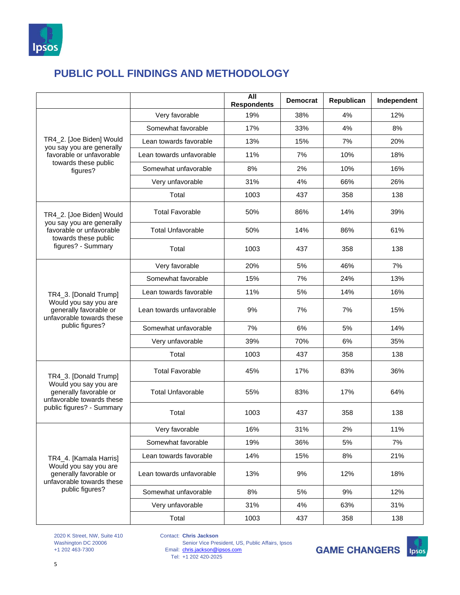

|                                                                              |                          | <b>All</b><br><b>Respondents</b> | <b>Democrat</b> | Republican | Independent |
|------------------------------------------------------------------------------|--------------------------|----------------------------------|-----------------|------------|-------------|
|                                                                              | Very favorable           | 19%                              | 38%             | 4%         | 12%         |
|                                                                              | Somewhat favorable       | 17%                              | 33%             | 4%         | 8%          |
| TR4_2. [Joe Biden] Would<br>you say you are generally                        | Lean towards favorable   | 13%                              | 15%             | 7%         | 20%         |
| favorable or unfavorable                                                     | Lean towards unfavorable | 11%                              | 7%              | 10%        | 18%         |
| towards these public<br>figures?                                             | Somewhat unfavorable     | 8%                               | 2%              | 10%        | 16%         |
|                                                                              | Very unfavorable         | 31%                              | 4%              | 66%        | 26%         |
|                                                                              | Total                    | 1003                             | 437             | 358        | 138         |
| TR4_2. [Joe Biden] Would                                                     | <b>Total Favorable</b>   | 50%                              | 86%             | 14%        | 39%         |
| you say you are generally<br>favorable or unfavorable                        | Total Unfavorable        | 50%                              | 14%             | 86%        | 61%         |
| towards these public<br>figures? - Summary                                   | Total                    | 1003                             | 437             | 358        | 138         |
|                                                                              | Very favorable           | 20%                              | 5%              | 46%        | 7%          |
|                                                                              | Somewhat favorable       | 15%                              | 7%              | 24%        | 13%         |
| TR4_3. [Donald Trump]                                                        | Lean towards favorable   | 11%                              | 5%              | 14%        | 16%         |
| Would you say you are<br>generally favorable or<br>unfavorable towards these | Lean towards unfavorable | 9%                               | 7%              | 7%         | 15%         |
| public figures?                                                              | Somewhat unfavorable     | 7%                               | 6%              | 5%         | 14%         |
|                                                                              | Very unfavorable         | 39%                              | 70%             | 6%         | 35%         |
|                                                                              | Total                    | 1003                             | 437             | 358        | 138         |
| TR4_3. [Donald Trump]                                                        | <b>Total Favorable</b>   | 45%                              | 17%             | 83%        | 36%         |
| Would you say you are<br>generally favorable or<br>unfavorable towards these | <b>Total Unfavorable</b> | 55%                              | 83%             | 17%        | 64%         |
| public figures? - Summary                                                    | Total                    | 1003                             | 437             | 358        | 138         |
|                                                                              | Very favorable           | 16%                              | 31%             | 2%         | 11%         |
|                                                                              | Somewhat favorable       | 19%                              | 36%             | 5%         | 7%          |
| TR4_4. [Kamala Harris]                                                       | Lean towards favorable   | 14%                              | 15%             | 8%         | 21%         |
| Would you say you are<br>generally favorable or<br>unfavorable towards these | Lean towards unfavorable | 13%                              | 9%              | 12%        | 18%         |
| public figures?                                                              | Somewhat unfavorable     | 8%                               | 5%              | 9%         | 12%         |
|                                                                              | Very unfavorable         | 31%                              | 4%              | 63%        | 31%         |
|                                                                              | Total                    | 1003                             | 437             | 358        | 138         |

2020 K Street, NW, Suite 410 Washington DC 20006 +1 202 463-7300

Contact: **Chris Jackson**

Email: Tel: Senior Vice President, US, Public Affairs, Ipsos [chris.jackson@ipsos.com](mailto:chris.jackson@ipsos.com) +1 202 420-2025

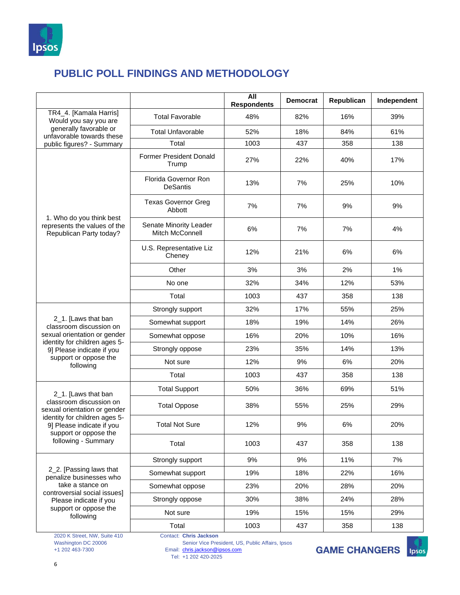

| TR4_4. [Kamala Harris]<br><b>Total Favorable</b><br>82%<br>16%<br>48%<br>Would you say you are<br>generally favorable or                                  | 39%<br>61%<br>138 |
|-----------------------------------------------------------------------------------------------------------------------------------------------------------|-------------------|
|                                                                                                                                                           |                   |
| <b>Total Unfavorable</b><br>52%<br>18%<br>84%<br>unfavorable towards these                                                                                |                   |
| Total<br>1003<br>437<br>358<br>public figures? - Summary                                                                                                  |                   |
| <b>Former President Donald</b><br>27%<br>22%<br>40%<br>Trump                                                                                              | 17%               |
| Florida Governor Ron<br>7%<br>13%<br>25%<br><b>DeSantis</b>                                                                                               | 10%               |
| <b>Texas Governor Greg</b><br>7%<br>7%<br>9%<br>Abbott                                                                                                    | 9%                |
| 1. Who do you think best<br>Senate Minority Leader<br>represents the values of the<br>6%<br>7%<br>7%<br><b>Mitch McConnell</b><br>Republican Party today? | 4%                |
| U.S. Representative Liz<br>12%<br>21%<br>6%<br>Cheney                                                                                                     | 6%                |
| Other<br>3%<br>3%<br>2%                                                                                                                                   | 1%                |
| No one<br>32%<br>34%<br>12%                                                                                                                               | 53%               |
| Total<br>1003<br>437<br>358                                                                                                                               | 138               |
| 32%<br>Strongly support<br>17%<br>55%                                                                                                                     | 25%               |
| 2_1. [Laws that ban<br>18%<br>19%<br>14%<br>Somewhat support<br>classroom discussion on                                                                   | 26%               |
| sexual orientation or gender<br>16%<br>10%<br>Somewhat oppose<br>20%                                                                                      | 16%               |
| identity for children ages 5-<br>23%<br>14%<br>Strongly oppose<br>35%<br>9] Please indicate if you                                                        | 13%               |
| support or oppose the<br>Not sure<br>12%<br>9%<br>6%<br>following                                                                                         | 20%               |
| Total<br>1003<br>437<br>358                                                                                                                               | 138               |
| 50%<br><b>Total Support</b><br>36%<br>69%<br>2_1. [Laws that ban                                                                                          | 51%               |
| classroom discussion on<br><b>Total Oppose</b><br>38%<br>55%<br>25%<br>sexual orientation or gender                                                       | 29%               |
| identity for children ages 5-<br><b>Total Not Sure</b><br>12%<br>9%<br>6%<br>9] Please indicate if you<br>support or oppose the                           | 20%               |
| following - Summary<br>Total<br>1003<br>437<br>358                                                                                                        | 138               |
| 11%<br>Strongly support<br>9%<br>9%                                                                                                                       | 7%                |
| 2_2. [Passing laws that<br>Somewhat support<br>19%<br>18%<br>22%<br>penalize businesses who                                                               | 16%               |
| take a stance on<br>23%<br>20%<br>28%<br>Somewhat oppose                                                                                                  | 20%               |
| controversial social issues]<br>Strongly oppose<br>30%<br>38%<br>24%<br>Please indicate if you                                                            | 28%               |
| support or oppose the<br>19%<br>Not sure<br>15%<br>15%<br>following                                                                                       | 29%               |
| 1003<br>437<br>Total<br>358                                                                                                                               | 138               |

2020 K Street, NW, Suite 410 Washington DC 20006 +1 202 463-7300

Contact: **Chris Jackson**

Email: Senior Vice President, US, Public Affairs, Ipsos [chris.jackson@ipsos.com](mailto:chris.jackson@ipsos.com)



Tel: +1 202 420-2025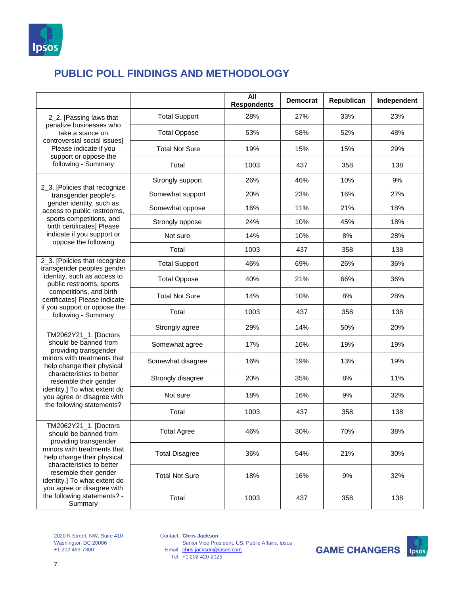

|                                                                                                                                                                                                                                                                                                    |                       | All<br><b>Respondents</b> | <b>Democrat</b> | Republican | Independent |
|----------------------------------------------------------------------------------------------------------------------------------------------------------------------------------------------------------------------------------------------------------------------------------------------------|-----------------------|---------------------------|-----------------|------------|-------------|
| 2_2. [Passing laws that<br>penalize businesses who<br>take a stance on<br>controversial social issues]                                                                                                                                                                                             | <b>Total Support</b>  | 28%                       | 27%             | 33%        | 23%         |
|                                                                                                                                                                                                                                                                                                    | <b>Total Oppose</b>   | 53%                       | 58%             | 52%        | 48%         |
| Please indicate if you<br>support or oppose the                                                                                                                                                                                                                                                    | <b>Total Not Sure</b> | 19%                       | 15%             | 15%        | 29%         |
| following - Summary                                                                                                                                                                                                                                                                                | Total                 | 1003                      | 437             | 358        | 138         |
|                                                                                                                                                                                                                                                                                                    | Strongly support      | 26%                       | 46%             | 10%        | 9%          |
| 2_3. [Policies that recognize<br>transgender people's                                                                                                                                                                                                                                              | Somewhat support      | 20%                       | 23%             | 16%        | 27%         |
| gender identity, such as<br>access to public restrooms,                                                                                                                                                                                                                                            | Somewhat oppose       | 16%                       | 11%             | 21%        | 18%         |
| sports competitions, and<br>birth certificates] Please                                                                                                                                                                                                                                             | Strongly oppose       | 24%                       | 10%             | 45%        | 18%         |
| indicate if you support or                                                                                                                                                                                                                                                                         | Not sure              | 14%                       | 10%             | 8%         | 28%         |
| oppose the following                                                                                                                                                                                                                                                                               | Total                 | 1003                      | 437             | 358        | 138         |
| 2_3. [Policies that recognize<br>transgender peoples gender                                                                                                                                                                                                                                        | <b>Total Support</b>  | 46%                       | 69%             | 26%        | 36%         |
| identity, such as access to<br>public restrooms, sports                                                                                                                                                                                                                                            | <b>Total Oppose</b>   | 40%                       | 21%             | 66%        | 36%         |
| competitions, and birth<br>certificates] Please indicate                                                                                                                                                                                                                                           | <b>Total Not Sure</b> | 14%                       | 10%             | 8%         | 28%         |
| if you support or oppose the<br>following - Summary                                                                                                                                                                                                                                                | Total                 | 1003                      | 437             | 358        | 138         |
| TM2062Y21_1. [Doctors                                                                                                                                                                                                                                                                              | Strongly agree        | 29%                       | 14%             | 50%        | 20%         |
| should be banned from<br>providing transgender                                                                                                                                                                                                                                                     | Somewhat agree        | 17%                       | 16%             | 19%        | 19%         |
| minors with treatments that<br>help change their physical                                                                                                                                                                                                                                          | Somewhat disagree     | 16%                       | 19%             | 13%        | 19%         |
| characteristics to better<br>resemble their gender                                                                                                                                                                                                                                                 | Strongly disagree     | 20%                       | 35%             | 8%         | 11%         |
| identity.] To what extent do<br>you agree or disagree with                                                                                                                                                                                                                                         | Not sure              | 18%                       | 16%             | 9%         | 32%         |
| the following statements?                                                                                                                                                                                                                                                                          | Total                 | 1003                      | 437             | 358        | 138         |
| TM2062Y21_1. [Doctors<br>should be banned from<br>providing transgender<br>minors with treatments that<br>help change their physical<br>characteristics to better<br>resemble their gender<br>identity.] To what extent do<br>you agree or disagree with<br>the following statements? -<br>Summary | Total Agree           | 46%                       | 30%             | 70%        | 38%         |
|                                                                                                                                                                                                                                                                                                    | <b>Total Disagree</b> | 36%                       | 54%             | 21%        | 30%         |
|                                                                                                                                                                                                                                                                                                    | <b>Total Not Sure</b> | 18%                       | 16%             | 9%         | 32%         |
|                                                                                                                                                                                                                                                                                                    | Total                 | 1003                      | 437             | 358        | 138         |

2020 K Street, NW, Suite 410 Washington DC 20006 +1 202 463-7300

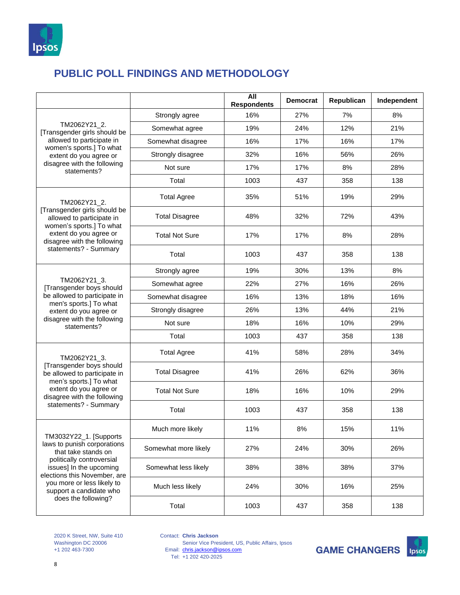

|                                                                                                                                                                      |                       | All<br><b>Respondents</b> | <b>Democrat</b> | Republican | Independent |
|----------------------------------------------------------------------------------------------------------------------------------------------------------------------|-----------------------|---------------------------|-----------------|------------|-------------|
| TM2062Y21 2.<br>[Transgender girls should be                                                                                                                         | Strongly agree        | 16%                       | 27%             | 7%         | 8%          |
|                                                                                                                                                                      | Somewhat agree        | 19%                       | 24%             | 12%        | 21%         |
| allowed to participate in<br>women's sports.] To what                                                                                                                | Somewhat disagree     | 16%                       | 17%             | 16%        | 17%         |
| extent do you agree or                                                                                                                                               | Strongly disagree     | 32%                       | 16%             | 56%        | 26%         |
| disagree with the following<br>statements?                                                                                                                           | Not sure              | 17%                       | 17%             | 8%         | 28%         |
|                                                                                                                                                                      | Total                 | 1003                      | 437             | 358        | 138         |
| TM2062Y21_2.                                                                                                                                                         | <b>Total Agree</b>    | 35%                       | 51%             | 19%        | 29%         |
| [Transgender girls should be<br>allowed to participate in<br>women's sports.] To what                                                                                | <b>Total Disagree</b> | 48%                       | 32%             | 72%        | 43%         |
| extent do you agree or<br>disagree with the following                                                                                                                | <b>Total Not Sure</b> | 17%                       | 17%             | 8%         | 28%         |
| statements? - Summary                                                                                                                                                | Total                 | 1003                      | 437             | 358        | 138         |
|                                                                                                                                                                      | Strongly agree        | 19%                       | 30%             | 13%        | 8%          |
| TM2062Y21_3.<br>[Transgender boys should                                                                                                                             | Somewhat agree        | 22%                       | 27%             | 16%        | 26%         |
| be allowed to participate in<br>men's sports.] To what                                                                                                               | Somewhat disagree     | 16%                       | 13%             | 18%        | 16%         |
| extent do you agree or                                                                                                                                               | Strongly disagree     | 26%                       | 13%             | 44%        | 21%         |
| disagree with the following<br>statements?                                                                                                                           | Not sure              | 18%                       | 16%             | 10%        | 29%         |
|                                                                                                                                                                      | Total                 | 1003                      | 437             | 358        | 138         |
| TM2062Y21 3.                                                                                                                                                         | <b>Total Agree</b>    | 41%                       | 58%             | 28%        | 34%         |
| [Transgender boys should<br>be allowed to participate in<br>men's sports.] To what                                                                                   | <b>Total Disagree</b> | 41%                       | 26%             | 62%        | 36%         |
| extent do you agree or<br>disagree with the following                                                                                                                | <b>Total Not Sure</b> | 18%                       | 16%             | 10%        | 29%         |
| statements? - Summary                                                                                                                                                | Total                 | 1003                      | 437             | 358        | 138         |
| TM3032Y22_1. [Supports<br>laws to punish corporations<br>that take stands on<br>politically controversial<br>issues] In the upcoming<br>elections this November, are | Much more likely      | 11%                       | 8%              | 15%        | 11%         |
|                                                                                                                                                                      | Somewhat more likely  | 27%                       | 24%             | 30%        | 26%         |
|                                                                                                                                                                      | Somewhat less likely  | 38%                       | 38%             | 38%        | 37%         |
| you more or less likely to<br>support a candidate who                                                                                                                | Much less likely      | 24%                       | 30%             | 16%        | 25%         |
| does the following?                                                                                                                                                  | Total                 | 1003                      | 437             | 358        | 138         |

2020 K Street, NW, Suite 410 Washington DC 20006 +1 202 463-7300

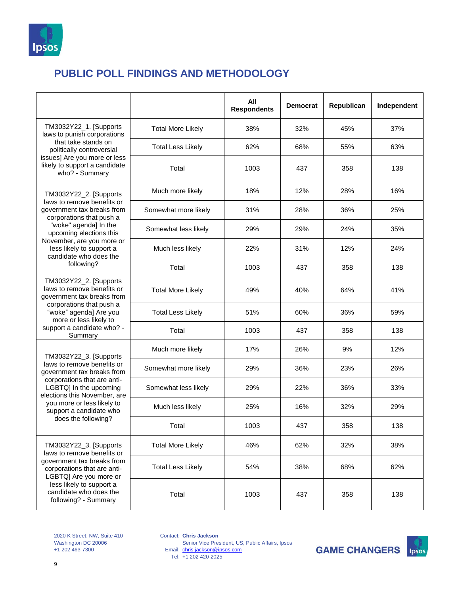

|                                                                                                                                                                   |                          | All<br><b>Respondents</b> | <b>Democrat</b> | Republican | Independent |
|-------------------------------------------------------------------------------------------------------------------------------------------------------------------|--------------------------|---------------------------|-----------------|------------|-------------|
| TM3032Y22_1. [Supports<br>laws to punish corporations                                                                                                             | <b>Total More Likely</b> | 38%                       | 32%             | 45%        | 37%         |
| that take stands on<br>politically controversial                                                                                                                  | <b>Total Less Likely</b> | 62%                       | 68%             | 55%        | 63%         |
| issues] Are you more or less<br>likely to support a candidate<br>who? - Summary                                                                                   | Total                    | 1003                      | 437             | 358        | 138         |
| TM3032Y22_2. [Supports                                                                                                                                            | Much more likely         | 18%                       | 12%             | 28%        | 16%         |
| laws to remove benefits or<br>government tax breaks from<br>corporations that push a                                                                              | Somewhat more likely     | 31%                       | 28%             | 36%        | 25%         |
| "woke" agenda] In the<br>upcoming elections this                                                                                                                  | Somewhat less likely     | 29%                       | 29%             | 24%        | 35%         |
| November, are you more or<br>less likely to support a<br>candidate who does the                                                                                   | Much less likely         | 22%                       | 31%             | 12%        | 24%         |
| following?                                                                                                                                                        | Total                    | 1003                      | 437             | 358        | 138         |
| TM3032Y22_2. [Supports<br>laws to remove benefits or<br>government tax breaks from                                                                                | <b>Total More Likely</b> | 49%                       | 40%             | 64%        | 41%         |
| corporations that push a<br>"woke" agenda] Are you<br>more or less likely to                                                                                      | <b>Total Less Likely</b> | 51%                       | 60%             | 36%        | 59%         |
| support a candidate who? -<br>Summary                                                                                                                             | Total                    | 1003                      | 437             | 358        | 138         |
| TM3032Y22_3. [Supports]                                                                                                                                           | Much more likely         | 17%                       | 26%             | 9%         | 12%         |
| laws to remove benefits or<br>government tax breaks from                                                                                                          | Somewhat more likely     | 29%                       | 36%             | 23%        | 26%         |
| corporations that are anti-<br>LGBTQ] In the upcoming<br>elections this November, are                                                                             | Somewhat less likely     | 29%                       | 22%             | 36%        | 33%         |
| you more or less likely to<br>support a candidate who                                                                                                             | Much less likely         | 25%                       | 16%             | 32%        | 29%         |
| does the following?                                                                                                                                               | Total                    | 1003                      | 437             | 358        | 138         |
| TM3032Y22_3. [Supports<br>laws to remove benefits or                                                                                                              | <b>Total More Likely</b> | 46%                       | 62%             | 32%        | 38%         |
| government tax breaks from<br>corporations that are anti-<br>LGBTQ] Are you more or<br>less likely to support a<br>candidate who does the<br>following? - Summary | <b>Total Less Likely</b> | 54%                       | 38%             | 68%        | 62%         |
|                                                                                                                                                                   | Total                    | 1003                      | 437             | 358        | 138         |

2020 K Street, NW, Suite 410 Washington DC 20006 +1 202 463-7300

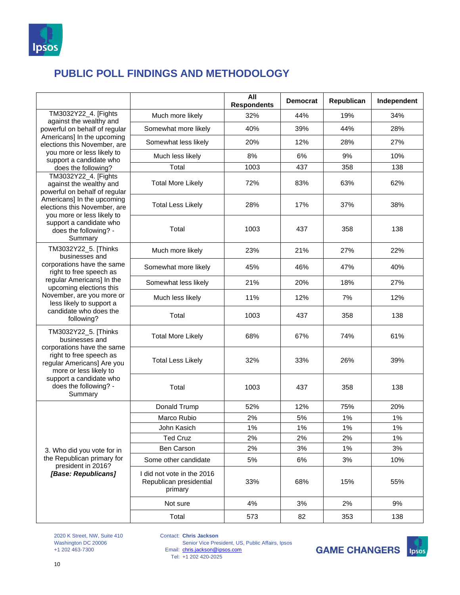

|                                                                                                                                                                                                                        |                                                                  | All<br><b>Respondents</b> | <b>Democrat</b> | Republican | Independent |
|------------------------------------------------------------------------------------------------------------------------------------------------------------------------------------------------------------------------|------------------------------------------------------------------|---------------------------|-----------------|------------|-------------|
| TM3032Y22_4. [Fights                                                                                                                                                                                                   | Much more likely                                                 | 32%                       | 44%             | 19%        | 34%         |
| against the wealthy and<br>powerful on behalf of regular                                                                                                                                                               | Somewhat more likely                                             | 40%                       | 39%             | 44%        | 28%         |
| Americans] In the upcoming<br>elections this November, are                                                                                                                                                             | Somewhat less likely                                             | 20%                       | 12%             | 28%        | 27%         |
| you more or less likely to<br>support a candidate who                                                                                                                                                                  | Much less likely                                                 | 8%                        | 6%              | 9%         | 10%         |
| does the following?                                                                                                                                                                                                    | Total                                                            | 1003                      | 437             | 358        | 138         |
| TM3032Y22_4. [Fights<br>against the wealthy and<br>powerful on behalf of regular                                                                                                                                       | <b>Total More Likely</b>                                         | 72%                       | 83%             | 63%        | 62%         |
| Americans] In the upcoming<br>elections this November, are<br>you more or less likely to                                                                                                                               | <b>Total Less Likely</b>                                         | 28%                       | 17%             | 37%        | 38%         |
| support a candidate who<br>does the following? -<br>Summary                                                                                                                                                            | Total                                                            | 1003                      | 437             | 358        | 138         |
| TM3032Y22_5. [Thinks<br>businesses and                                                                                                                                                                                 | Much more likely                                                 | 23%                       | 21%             | 27%        | 22%         |
| corporations have the same<br>right to free speech as                                                                                                                                                                  | Somewhat more likely                                             | 45%                       | 46%             | 47%        | 40%         |
| regular Americans] In the<br>upcoming elections this                                                                                                                                                                   | Somewhat less likely                                             | 21%                       | 20%             | 18%        | 27%         |
| November, are you more or<br>less likely to support a                                                                                                                                                                  | Much less likely                                                 | 11%                       | 12%             | 7%         | 12%         |
| candidate who does the<br>following?                                                                                                                                                                                   | Total                                                            | 1003                      | 437             | 358        | 138         |
| TM3032Y22_5. [Thinks<br>businesses and<br>corporations have the same<br>right to free speech as<br>regular Americans] Are you<br>more or less likely to<br>support a candidate who<br>does the following? -<br>Summary | <b>Total More Likely</b>                                         | 68%                       | 67%             | 74%        | 61%         |
|                                                                                                                                                                                                                        | <b>Total Less Likely</b>                                         | 32%                       | 33%             | 26%        | 39%         |
|                                                                                                                                                                                                                        | Total                                                            | 1003                      | 437             | 358        | 138         |
|                                                                                                                                                                                                                        | Donald Trump                                                     | 52%                       | 12%             | 75%        | 20%         |
|                                                                                                                                                                                                                        | Marco Rubio                                                      | 2%                        | 5%              | 1%         | 1%          |
| 3. Who did you vote for in<br>the Republican primary for<br>president in 2016?<br>[Base: Republicans]                                                                                                                  | John Kasich                                                      | $1\%$                     | $1\%$           | 1%         | $1\%$       |
|                                                                                                                                                                                                                        | <b>Ted Cruz</b>                                                  | 2%                        | 2%              | 2%         | 1%          |
|                                                                                                                                                                                                                        | Ben Carson                                                       | 2%                        | 3%              | 1%         | 3%          |
|                                                                                                                                                                                                                        | Some other candidate                                             | 5%                        | 6%              | 3%         | 10%         |
|                                                                                                                                                                                                                        | I did not vote in the 2016<br>Republican presidential<br>primary | 33%                       | 68%             | 15%        | 55%         |
|                                                                                                                                                                                                                        | Not sure                                                         | 4%                        | 3%              | 2%         | 9%          |
|                                                                                                                                                                                                                        | Total                                                            | 573                       | 82              | 353        | 138         |

2020 K Street, NW, Suite 410 Washington DC 20006 +1 202 463-7300

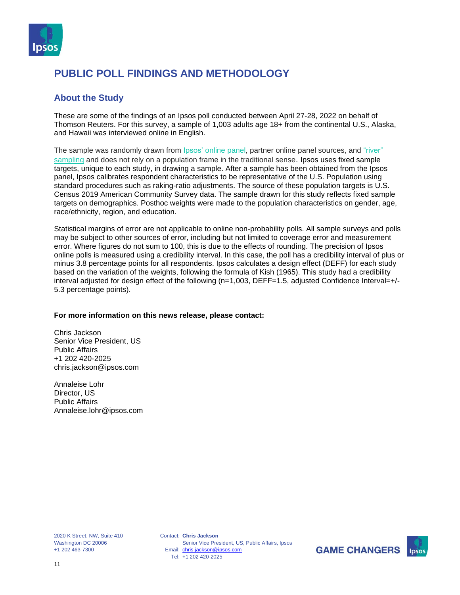

#### **About the Study**

These are some of the findings of an Ipsos poll conducted between April 27-28, 2022 on behalf of Thomson Reuters. For this survey, a sample of 1,003 adults age 18+ from the continental U.S., Alaska, and Hawaii was interviewed online in English.

The sample was randomly drawn from Ipsos' [online](https://www.ipsos.com/en-us/public-opinion-polling-downloads) panel, partner online panel sources, and ["river"](https://www.ipsos.com/en-us/public-opinion-polling-downloads) [sampling](https://www.ipsos.com/en-us/public-opinion-polling-downloads) and does not rely on a population frame in the traditional sense. Ipsos uses fixed sample targets, unique to each study, in drawing a sample. After a sample has been obtained from the Ipsos panel, Ipsos calibrates respondent characteristics to be representative of the U.S. Population using standard procedures such as raking-ratio adjustments. The source of these population targets is U.S. Census 2019 American Community Survey data. The sample drawn for this study reflects fixed sample targets on demographics. Posthoc weights were made to the population characteristics on gender, age, race/ethnicity, region, and education.

Statistical margins of error are not applicable to online non-probability polls. All sample surveys and polls may be subject to other sources of error, including but not limited to coverage error and measurement error. Where figures do not sum to 100, this is due to the effects of rounding. The precision of Ipsos online polls is measured using a credibility interval. In this case, the poll has a credibility interval of plus or minus 3.8 percentage points for all respondents. Ipsos calculates a design effect (DEFF) for each study based on the variation of the weights, following the formula of Kish (1965). This study had a credibility interval adjusted for design effect of the following (n=1,003, DEFF=1.5, adjusted Confidence Interval=+/-5.3 percentage points).

#### **For more information on this news release, please contact:**

Chris Jackson Senior Vice President, US Public Affairs +1 202 420-2025 chris.jackson@ipsos.com

Annaleise Lohr Director, US Public Affairs Annaleise.lohr@ipsos.com